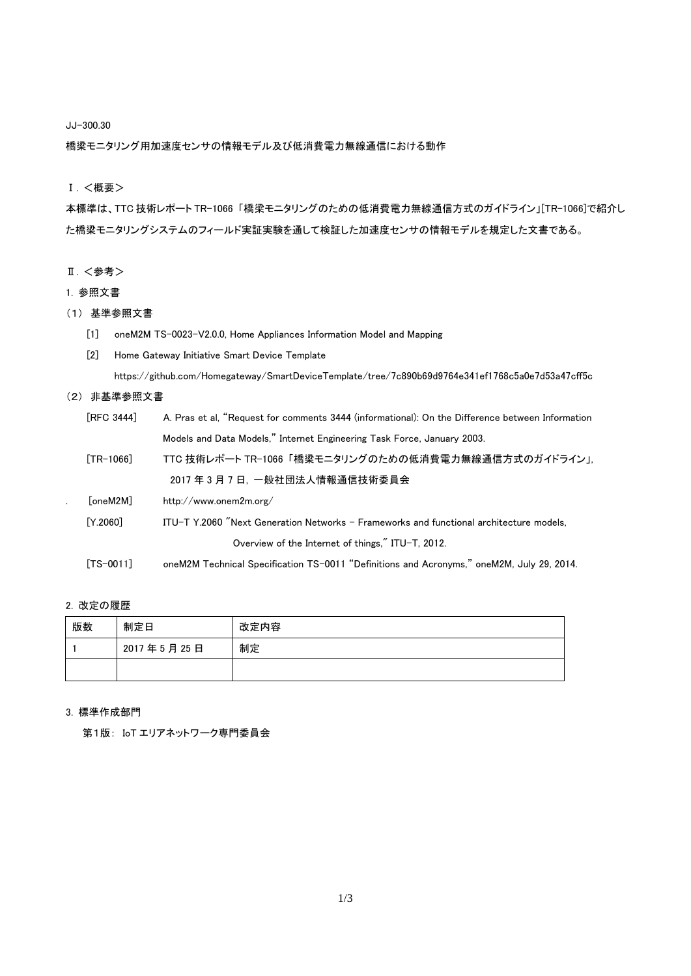JJ-300.30

橋梁モニタリング用加速度センサの情報モデル及び低消費電力無線通信における動作

## Ⅰ.<概要>

本標準は、TTC 技術レポート TR-1066 「橋梁モニタリングのための低消費電力無線通信方式のガイドライン」[TR-1066]で紹介し た橋梁モニタリングシステムのフィールド実証実験を通して検証した加速度センサの情報モデルを規定した文書である。

## Ⅱ. <参考>

### 1. 参照文書

# (1) 基準参照文書

- [1] oneM2M TS-0023-V2.0.0, Home Appliances Information Model and Mapping
- [2] Home Gateway Initiative Smart Device Template

https://github.com/Homegateway/SmartDeviceTemplate/tree/7c890b69d9764e341ef1768c5a0e7d53a47cff5c

#### (2) 非基準参照文書

| <b>FRFC 34441</b> |                           | A. Pras et al. "Request for comments 3444 (informational): On the Difference between Information |
|-------------------|---------------------------|--------------------------------------------------------------------------------------------------|
|                   |                           | Models and Data Models." Internet Engineering Task Force, January 2003.                          |
|                   | $\lceil TR - 1066 \rceil$ | TTC 技術レポート TR-1066「橋梁モニタリングのための低消費電力無線通信方式のガイドライン」,                                              |
|                   |                           | 2017年3月7日, 一般社団法人情報通信技術委員会                                                                       |
|                   | [oneM2M]                  | http://www.onem2m.org/                                                                           |
|                   | [Y.2060]                  | ITU-T Y.2060 "Next Generation Networks - Frameworks and functional architecture models.          |
|                   |                           | Overview of the Internet of things," ITU-T, 2012.                                                |
|                   | $[TS-0011]$               | oneM2M Technical Specification TS-0011 "Definitions and Acronyms," oneM2M, July 29, 2014.        |

# 2. 改定の履歴

| 版数 | 制定日        | 改定内容 |
|----|------------|------|
|    | 2017年5月25日 | 制定   |
|    |            |      |

### 3. 標準作成部門

第1版: IoT エリアネットワーク専門委員会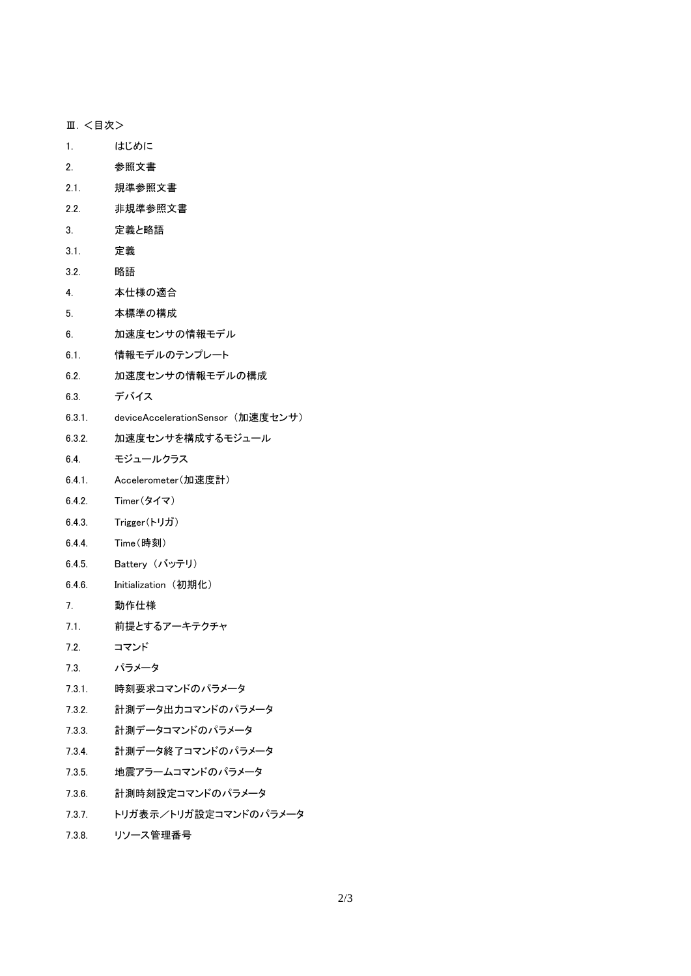Ⅲ.<目次>

- 1. はじめに
- 2. 参照文書
- 2.1. 規準参照文書
- 2.2. 非規準参照文書
- 3. 定義と略語
- 3.1. 定義
- 3.2. 略語
- 4. 本仕様の適合
- 5. 本標準の構成
- 6. 加速度センサの情報モデル
- 6.1. 情報モデルのテンプレート
- 6.2. 加速度センサの情報モデルの構成
- 6.3. デバイス
- 6.3.1. deviceAccelerationSensor (加速度センサ)
- 6.3.2. 加速度センサを構成するモジュール
- 6.4. モジュールクラス
- 6.4.1. Accelerometer(加速度計)
- 6.4.2. Timer(タイマ)
- 6.4.3. Trigger(トリガ)
- 6.4.4. Time(時刻)
- 6.4.5. Battery (バッテリ)
- 6.4.6. Initialization (初期化)
- 7. 動作仕様
- 7.1. 前提とするアーキテクチャ
- 7.2. コマンド
- 7.3. パラメータ
- 7.3.1. 時刻要求コマンドのパラメータ
- 7.3.2. 計測データ出力コマンドのパラメータ
- 7.3.3. 計測データコマンドのパラメータ
- 7.3.4. 計測データ終了コマンドのパラメータ
- 7.3.5. 地震アラームコマンドのパラメータ
- 7.3.6. 計測時刻設定コマンドのパラメータ
- 7.3.7. トリガ表示/トリガ設定コマンドのパラメータ
- 7.3.8. リソース管理番号